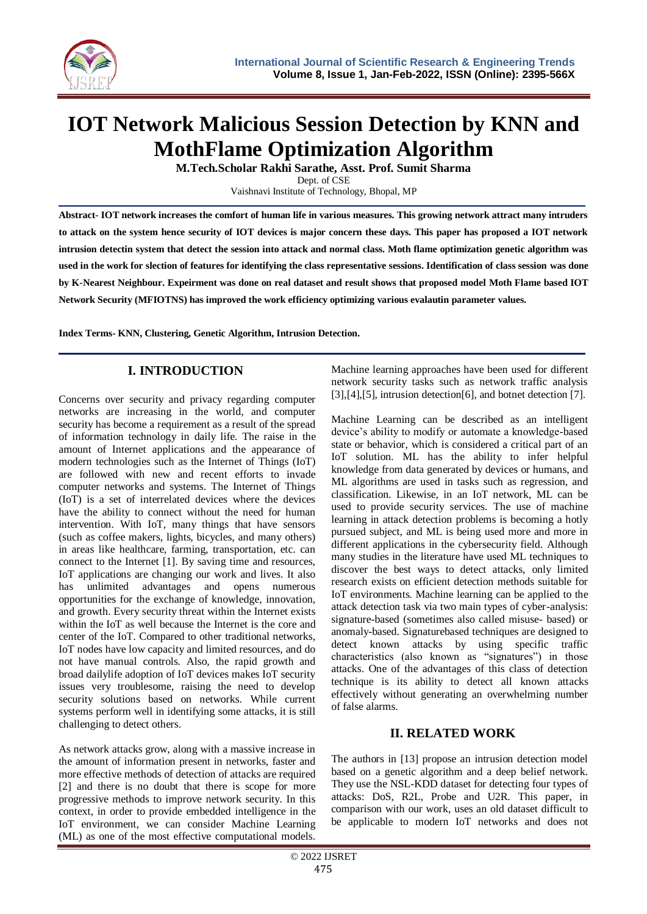

# **IOT Network Malicious Session Detection by KNN and MothFlame Optimization Algorithm**

**M.Tech.Scholar Rakhi Sarathe, Asst. Prof. Sumit Sharma**

Dept. of CSE Vaishnavi Institute of Technology, Bhopal, MP

**Abstract- IOT network increases the comfort of human life in various measures. This growing network attract many intruders to attack on the system hence security of IOT devices is major concern these days. This paper has proposed a IOT network intrusion detectin system that detect the session into attack and normal class. Moth flame optimization genetic algorithm was used in the work for slection of features for identifying the class representative sessions. Identification of class session was done by K-Nearest Neighbour. Expeirment was done on real dataset and result shows that proposed model Moth Flame based IOT Network Security (MFIOTNS) has improved the work efficiency optimizing various evalautin parameter values.**

**Index Terms- KNN, Clustering, Genetic Algorithm, Intrusion Detection.**

# **I. INTRODUCTION**

Concerns over security and privacy regarding computer networks are increasing in the world, and computer security has become a requirement as a result of the spread of information technology in daily life. The raise in the amount of Internet applications and the appearance of modern technologies such as the Internet of Things (IoT) are followed with new and recent efforts to invade computer networks and systems. The Internet of Things (IoT) is a set of interrelated devices where the devices have the ability to connect without the need for human intervention. With IoT, many things that have sensors (such as coffee makers, lights, bicycles, and many others) in areas like healthcare, farming, transportation, etc. can connect to the Internet [1]. By saving time and resources, IoT applications are changing our work and lives. It also has unlimited advantages and opens numerous opportunities for the exchange of knowledge, innovation, and growth. Every security threat within the Internet exists within the IoT as well because the Internet is the core and center of the IoT. Compared to other traditional networks, IoT nodes have low capacity and limited resources, and do not have manual controls. Also, the rapid growth and broad dailylife adoption of IoT devices makes IoT security issues very troublesome, raising the need to develop security solutions based on networks. While current systems perform well in identifying some attacks, it is still challenging to detect others.

As network attacks grow, along with a massive increase in the amount of information present in networks, faster and more effective methods of detection of attacks are required [2] and there is no doubt that there is scope for more progressive methods to improve network security. In this context, in order to provide embedded intelligence in the IoT environment, we can consider Machine Learning (ML) as one of the most effective computational models.

Machine learning approaches have been used for different network security tasks such as network traffic analysis [3],[4],[5], intrusion detection[6], and botnet detection [7].

Machine Learning can be described as an intelligent device's ability to modify or automate a knowledge-based state or behavior, which is considered a critical part of an IoT solution. ML has the ability to infer helpful knowledge from data generated by devices or humans, and ML algorithms are used in tasks such as regression, and classification. Likewise, in an IoT network, ML can be used to provide security services. The use of machine learning in attack detection problems is becoming a hotly pursued subject, and ML is being used more and more in different applications in the cybersecurity field. Although many studies in the literature have used ML techniques to discover the best ways to detect attacks, only limited research exists on efficient detection methods suitable for IoT environments. Machine learning can be applied to the attack detection task via two main types of cyber-analysis: signature-based (sometimes also called misuse- based) or anomaly-based. Signaturebased techniques are designed to detect known attacks by using specific traffic characteristics (also known as "signatures") in those attacks. One of the advantages of this class of detection technique is its ability to detect all known attacks effectively without generating an overwhelming number of false alarms.

# **II. RELATED WORK**

The authors in [13] propose an intrusion detection model based on a genetic algorithm and a deep belief network. They use the NSL-KDD dataset for detecting four types of attacks: DoS, R2L, Probe and U2R. This paper, in comparison with our work, uses an old dataset difficult to be applicable to modern IoT networks and does not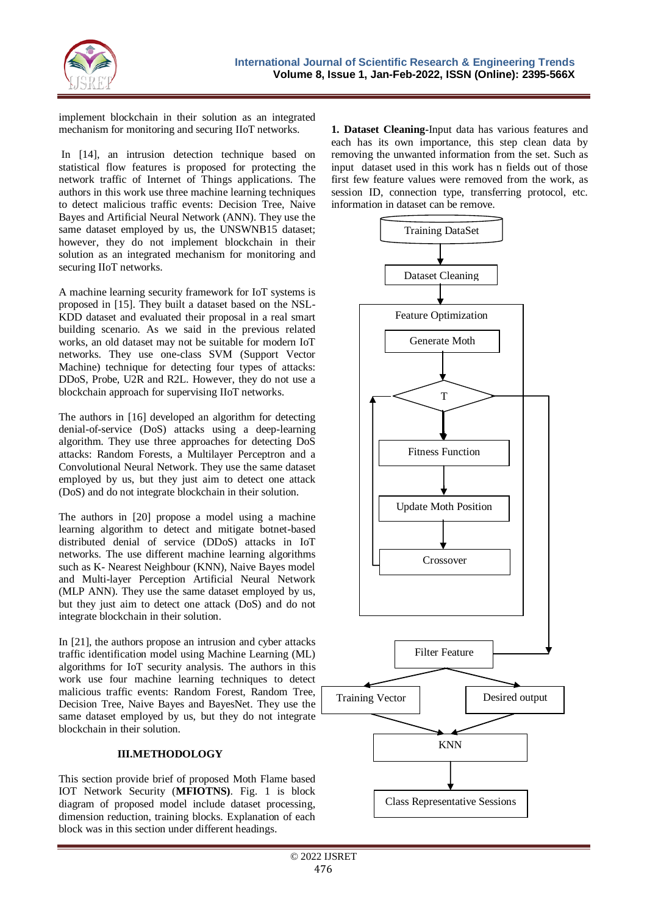

implement blockchain in their solution as an integrated mechanism for monitoring and securing IIoT networks.

In [14], an intrusion detection technique based on statistical flow features is proposed for protecting the network traffic of Internet of Things applications. The authors in this work use three machine learning techniques to detect malicious traffic events: Decision Tree, Naive Bayes and Artificial Neural Network (ANN). They use the same dataset employed by us, the UNSWNB15 dataset; however, they do not implement blockchain in their solution as an integrated mechanism for monitoring and securing IIoT networks.

A machine learning security framework for IoT systems is proposed in [15]. They built a dataset based on the NSL-KDD dataset and evaluated their proposal in a real smart building scenario. As we said in the previous related works, an old dataset may not be suitable for modern IoT networks. They use one-class SVM (Support Vector Machine) technique for detecting four types of attacks: DDoS, Probe, U2R and R2L. However, they do not use a blockchain approach for supervising IIoT networks.

The authors in [16] developed an algorithm for detecting denial-of-service (DoS) attacks using a deep-learning algorithm. They use three approaches for detecting DoS attacks: Random Forests, a Multilayer Perceptron and a Convolutional Neural Network. They use the same dataset employed by us, but they just aim to detect one attack (DoS) and do not integrate blockchain in their solution.

The authors in [20] propose a model using a machine learning algorithm to detect and mitigate botnet-based distributed denial of service (DDoS) attacks in IoT networks. The use different machine learning algorithms such as K- Nearest Neighbour (KNN), Naive Bayes model and Multi-layer Perception Artificial Neural Network (MLP ANN). They use the same dataset employed by us, but they just aim to detect one attack (DoS) and do not integrate blockchain in their solution.

In [21], the authors propose an intrusion and cyber attacks traffic identification model using Machine Learning (ML) algorithms for IoT security analysis. The authors in this work use four machine learning techniques to detect malicious traffic events: Random Forest, Random Tree, Decision Tree, Naive Bayes and BayesNet. They use the same dataset employed by us, but they do not integrate blockchain in their solution.

### **III.METHODOLOGY**

This section provide brief of proposed Moth Flame based IOT Network Security (**MFIOTNS)**. Fig. 1 is block diagram of proposed model include dataset processing, dimension reduction, training blocks. Explanation of each block was in this section under different headings.

**1. Dataset Cleaning-**Input data has various features and each has its own importance, this step clean data by removing the unwanted information from the set. Such as input dataset used in this work has n fields out of those first few feature values were removed from the work, as session ID, connection type, transferring protocol, etc. information in dataset can be remove.

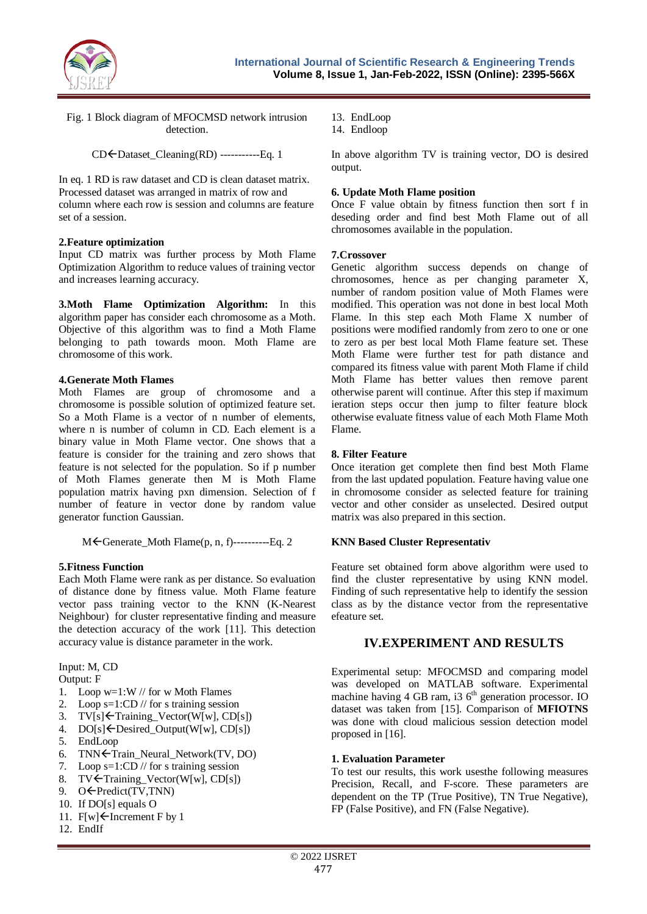

Fig. 1 Block diagram of MFOCMSD network intrusion detection.

 $CD \leftarrow$ Dataset\_Cleaning(RD) -----------Eq. 1

In eq. 1 RD is raw dataset and CD is clean dataset matrix. Processed dataset was arranged in matrix of row and column where each row is session and columns are feature set of a session.

#### **2.Feature optimization**

Input CD matrix was further process by Moth Flame Optimization Algorithm to reduce values of training vector and increases learning accuracy.

**3.Moth Flame Optimization Algorithm:** In this algorithm paper has consider each chromosome as a Moth. Objective of this algorithm was to find a Moth Flame belonging to path towards moon. Moth Flame are chromosome of this work.

#### **4.Generate Moth Flames**

Moth Flames are group of chromosome and a chromosome is possible solution of optimized feature set. So a Moth Flame is a vector of n number of elements, where n is number of column in CD. Each element is a binary value in Moth Flame vector. One shows that a feature is consider for the training and zero shows that feature is not selected for the population. So if p number of Moth Flames generate then M is Moth Flame population matrix having pxn dimension. Selection of f number of feature in vector done by random value generator function Gaussian.

 $M \leftarrow$  Generate Moth Flame(p, n, f)----------Eq. 2

#### **5.Fitness Function**

Each Moth Flame were rank as per distance. So evaluation of distance done by fitness value. Moth Flame feature vector pass training vector to the KNN (K-Nearest Neighbour) for cluster representative finding and measure the detection accuracy of the work [11]. This detection accuracy value is distance parameter in the work.

# Input: M, CD

Output: F

- 1. Loop w=1:W // for w Moth Flames
- 2. Loop  $s=1:CD$  // for s training session
- 3.  $TV[s] \leftarrow$  Training\_Vector(W[w], CD[s])
- 4.  $DO[s] \leftarrow Desired\_Output(W[w], CD[s])$
- 5. EndLoop
- 6. TNN<Train\_Neural\_Network(TV, DO)
- 7. Loop s=1:CD // for s training session
- 8. TV $\acute{\text{F}}$ Training\_Vector(W[w], CD[s])
- 9.  $O \leftarrow \text{Predict}(\text{TV}, \text{TNN})$
- 10. If DO[s] equals O
- 11.  $F[w] \leftarrow$  Increment F by 1
- 12. EndIf
- 13. EndLoop
- 14. Endloop

In above algorithm TV is training vector, DO is desired output.

#### **6. Update Moth Flame position**

Once F value obtain by fitness function then sort f in deseding order and find best Moth Flame out of all chromosomes available in the population.

#### **7.Crossover**

Genetic algorithm success depends on change of chromosomes, hence as per changing parameter X, number of random position value of Moth Flames were modified. This operation was not done in best local Moth Flame. In this step each Moth Flame X number of positions were modified randomly from zero to one or one to zero as per best local Moth Flame feature set. These Moth Flame were further test for path distance and compared its fitness value with parent Moth Flame if child Moth Flame has better values then remove parent otherwise parent will continue. After this step if maximum ieration steps occur then jump to filter feature block otherwise evaluate fitness value of each Moth Flame Moth Flame.

#### **8. Filter Feature**

Once iteration get complete then find best Moth Flame from the last updated population. Feature having value one in chromosome consider as selected feature for training vector and other consider as unselected. Desired output matrix was also prepared in this section.

#### **KNN Based Cluster Representativ**

Feature set obtained form above algorithm were used to find the cluster representative by using KNN model. Finding of such representative help to identify the session class as by the distance vector from the representative efeature set.

# **IV.EXPERIMENT AND RESULTS**

Experimental setup: MFOCMSD and comparing model was developed on MATLAB software. Experimental machine having 4 GB ram, i3  $6<sup>th</sup>$  generation processor. IO dataset was taken from [15]. Comparison of **MFIOTNS** was done with cloud malicious session detection model proposed in [16].

#### **1. Evaluation Parameter**

To test our results, this work usesthe following measures Precision, Recall, and F-score. These parameters are dependent on the TP (True Positive), TN True Negative), FP (False Positive), and FN (False Negative).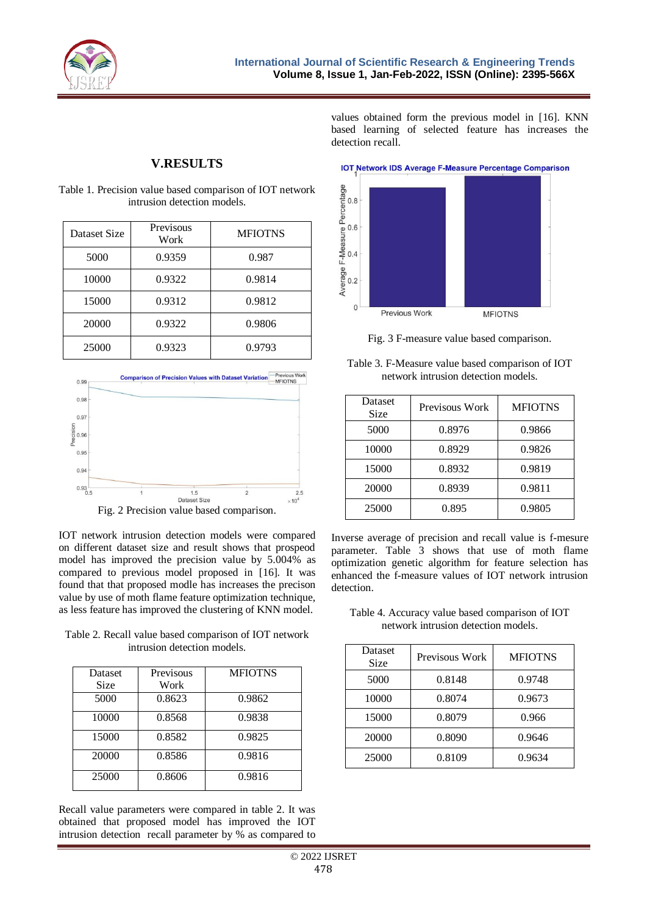

detection recall.

# **V.RESULTS**

| Dataset Size | Previsous<br>Work | <b>MFIOTNS</b> |
|--------------|-------------------|----------------|
| 5000         | 0.9359            | 0.987          |
| 10000        | 0.9322            | 0.9814         |
| 15000        | 0.9312            | 0.9812         |
| 20000        | 0.9322            | 0.9806         |
| 25000        | 0.9323            | 0.9793         |

Table 1. Precision value based comparison of IOT network intrusion detection models.



IOT network intrusion detection models were compared on different dataset size and result shows that prospeod model has improved the precision value by 5.004% as compared to previous model proposed in [16]. It was found that that proposed modle has increases the precison value by use of moth flame feature optimization technique, as less feature has improved the clustering of KNN model.

Table 2. Recall value based comparison of IOT network intrusion detection models.

| Dataset<br>Size | Previsous<br>Work | <b>MFIOTNS</b> |
|-----------------|-------------------|----------------|
| 5000            | 0.8623            | 0.9862         |
| 10000           | 0.8568            | 0.9838         |
| 15000           | 0.8582            | 0.9825         |
| 20000           | 0.8586            | 0.9816         |
| 25000           | 0.8606            | 0.9816         |

Recall value parameters were compared in table 2. It was obtained that proposed model has improved the IOT intrusion detection recall parameter by % as compared to



values obtained form the previous model in [16]. KNN based learning of selected feature has increases the

Fig. 3 F-measure value based comparison.

Table 3. F-Measure value based comparison of IOT network intrusion detection models.

| <b>Dataset</b><br>Size | Previsous Work | <b>MFIOTNS</b> |
|------------------------|----------------|----------------|
| 5000                   | 0.8976         | 0.9866         |
| 10000                  | 0.8929         | 0.9826         |
| 15000                  | 0.8932         | 0.9819         |
| 20000                  | 0.8939         | 0.9811         |
| 25000                  | 0.895          | 0.9805         |

Inverse average of precision and recall value is f-mesure parameter. Table 3 shows that use of moth flame optimization genetic algorithm for feature selection has enhanced the f-measure values of IOT network intrusion detection.

Table 4. Accuracy value based comparison of IOT network intrusion detection models.

| Dataset<br>Size | Previsous Work | <b>MFIOTNS</b> |
|-----------------|----------------|----------------|
| 5000            | 0.8148         | 0.9748         |
| 10000           | 0.8074         | 0.9673         |
| 15000           | 0.8079         | 0.966          |
| 20000           | 0.8090         | 0.9646         |
| 25000           | 0.8109         | 0.9634         |